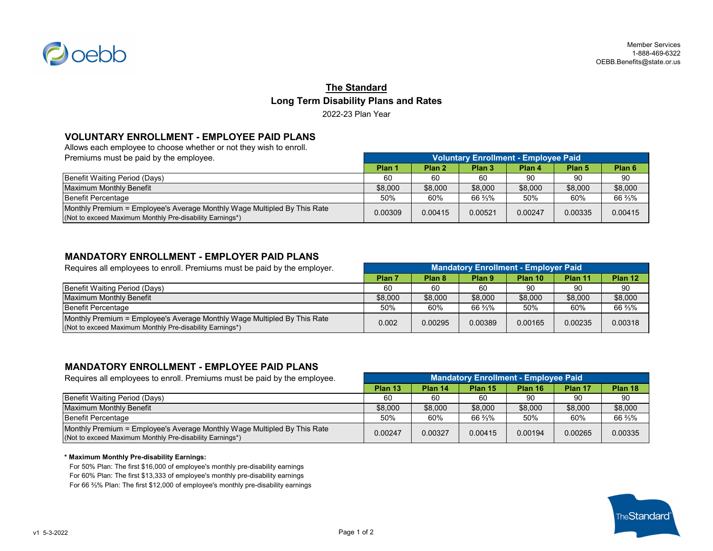

# **The Standard Long Term Disability Plans and Rates** 2022-23 Plan Year

### **VOLUNTARY ENROLLMENT - EMPLOYEE PAID PLANS**

Allows each employee to choose whether or not they wish to enroll.<br>Premiums must be usid by the smallers of

| Premiums must be paid by the employee.                                                                                               | Voluntary Enrollment - Employee Paid |         |         |         |                   |                   |
|--------------------------------------------------------------------------------------------------------------------------------------|--------------------------------------|---------|---------|---------|-------------------|-------------------|
|                                                                                                                                      | Plan 1                               | Plan 2  | Plan 3  | Plan 4  | Plan <sub>5</sub> | Plan <sub>6</sub> |
| Benefit Waiting Period (Days)                                                                                                        | 60                                   | 60      | 60      | 90      | 90                | 90                |
| <b>Maximum Monthly Benefit</b>                                                                                                       | \$8,000                              | \$8,000 | \$8,000 | \$8,000 | \$8,000           | \$8,000           |
| Benefit Percentage                                                                                                                   | 50%                                  | 60%     | 66 %%   | 50%     | 60%               | 66 3/3%           |
| Monthly Premium = Employee's Average Monthly Wage Multipled By This Rate<br>(Not to exceed Maximum Monthly Pre-disability Earnings*) | 0.00309                              | 0.00415 | 0.00521 | 0.00247 | 0.00335           | 0.00415           |

### **MANDATORY ENROLLMENT - EMPLOYER PAID PLANS**

| Requires all employees to enroll. Premiums must be paid by the employer.                                                             | <b>Mandatory Enrollment - Employer Paid</b> |                   |                   |         |         |         |
|--------------------------------------------------------------------------------------------------------------------------------------|---------------------------------------------|-------------------|-------------------|---------|---------|---------|
|                                                                                                                                      | Plan 7                                      | Plan <sub>8</sub> | Plan <sub>9</sub> | Plan 10 | Plan 11 | Plan 12 |
| Benefit Waiting Period (Days)                                                                                                        | 60                                          | 60                | 60                | 90      | 90      | 90      |
| Maximum Monthly Benefit                                                                                                              | \$8,000                                     | \$8,000           | \$8,000           | \$8,000 | \$8,000 | \$8,000 |
| Benefit Percentage                                                                                                                   | 50%                                         | 60%               | 66 %%             | 50%     | 60%     | 66 %%   |
| Monthly Premium = Employee's Average Monthly Wage Multipled By This Rate<br>(Not to exceed Maximum Monthly Pre-disability Earnings*) | 0.002                                       | 0.00295           | 0.00389           | 0.00165 | 0.00235 | 0.00318 |

### **MANDATORY ENROLLMENT - EMPLOYEE PAID PLANS**

| Requires all employees to enroll. Premiums must be paid by the employee.                                                             | <b>Mandatory Enrollment - Employee Paid</b> |         |         |         |         |         |
|--------------------------------------------------------------------------------------------------------------------------------------|---------------------------------------------|---------|---------|---------|---------|---------|
|                                                                                                                                      | Plan 13                                     | Plan 14 | Plan 15 | Plan 16 | Plan 17 | Plan 18 |
| Benefit Waiting Period (Days)                                                                                                        | 60                                          | 60      | 60      | 90      | 90      | 90      |
| Maximum Monthly Benefit                                                                                                              | \$8,000                                     | \$8,000 | \$8,000 | \$8,000 | \$8,000 | \$8,000 |
| Benefit Percentage                                                                                                                   | 50%                                         | 60%     | 66 ¾%   | 50%     | 60%     | 66 %%   |
| Monthly Premium = Employee's Average Monthly Wage Multipled By This Rate<br>(Not to exceed Maximum Monthly Pre-disability Earnings*) | 0.00247                                     | 0.00327 | 0.00415 | 0.00194 | 0.00265 | 0.00335 |

#### **\* Maximum Monthly Pre-disability Earnings:**

For 50% Plan: The first \$16,000 of employee's monthly pre-disability earnings For 60% Plan: The first \$13,333 of employee's monthly pre-disability earnings For 66 ⅔% Plan: The first \$12,000 of employee's monthly pre-disability earnings